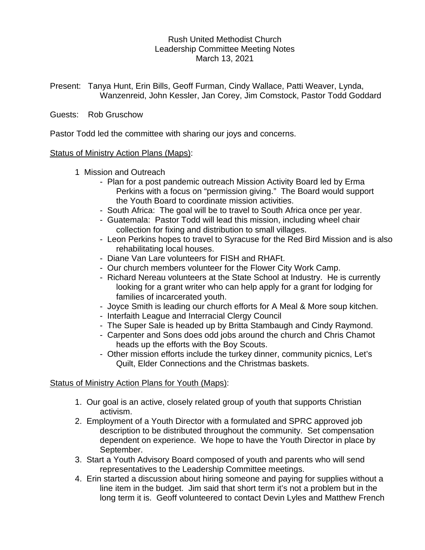# Rush United Methodist Church Leadership Committee Meeting Notes March 13, 2021

Present: Tanya Hunt, Erin Bills, Geoff Furman, Cindy Wallace, Patti Weaver, Lynda, Wanzenreid, John Kessler, Jan Corey, Jim Comstock, Pastor Todd Goddard

## Guests: Rob Gruschow

Pastor Todd led the committee with sharing our joys and concerns.

### Status of Ministry Action Plans (Maps):

- 1 Mission and Outreach
	- Plan for a post pandemic outreach Mission Activity Board led by Erma Perkins with a focus on "permission giving." The Board would support the Youth Board to coordinate mission activities.
	- South Africa: The goal will be to travel to South Africa once per year.
	- Guatemala: Pastor Todd will lead this mission, including wheel chair collection for fixing and distribution to small villages.
	- Leon Perkins hopes to travel to Syracuse for the Red Bird Mission and is also rehabilitating local houses.
	- Diane Van Lare volunteers for FISH and RHAFt.
	- Our church members volunteer for the Flower City Work Camp.
	- Richard Nereau volunteers at the State School at Industry. He is currently looking for a grant writer who can help apply for a grant for lodging for families of incarcerated youth.
	- Joyce Smith is leading our church efforts for A Meal & More soup kitchen.
	- Interfaith League and Interracial Clergy Council
	- The Super Sale is headed up by Britta Stambaugh and Cindy Raymond.
	- Carpenter and Sons does odd jobs around the church and Chris Chamot heads up the efforts with the Boy Scouts.
	- Other mission efforts include the turkey dinner, community picnics, Let's Quilt, Elder Connections and the Christmas baskets.

### Status of Ministry Action Plans for Youth (Maps):

- 1. Our goal is an active, closely related group of youth that supports Christian activism.
- 2. Employment of a Youth Director with a formulated and SPRC approved job description to be distributed throughout the community. Set compensation dependent on experience. We hope to have the Youth Director in place by September.
- 3. Start a Youth Advisory Board composed of youth and parents who will send representatives to the Leadership Committee meetings.
- 4. Erin started a discussion about hiring someone and paying for supplies without a line item in the budget. Jim said that short term it's not a problem but in the long term it is. Geoff volunteered to contact Devin Lyles and Matthew French